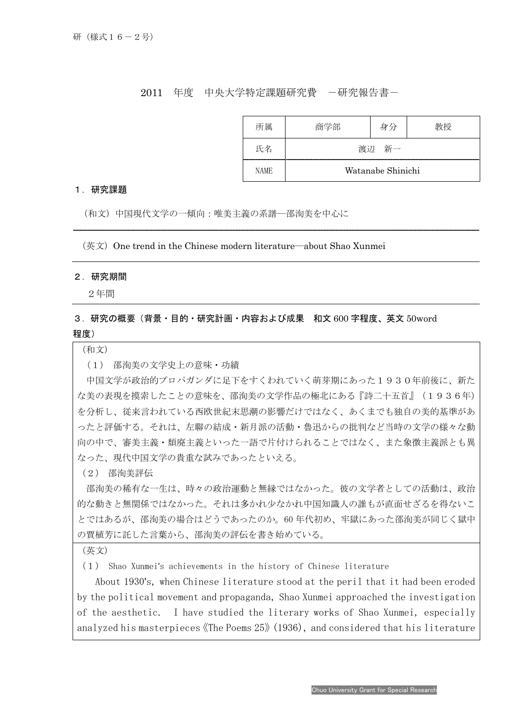2011 年度 中央大学特定課題研究費 一研究報告書-

| 所属   | 商学部               | 身分 |  |
|------|-------------------|----|--|
| 氏名   | 新一<br>渡讱          |    |  |
| NAME | Watanabe Shinichi |    |  |

## 1.研究課題

(和文)中国現代文学の一傾向:唯美主義の系譜―邵洵美を中心に

 $(\& \& \& )$  One trend in the Chinese modern literature—about Shao Xunmei

## 2.研究期間

I

2年間

## 3.研究の概要(背景・目的・研究計画・内容および成果 和文 600 字程度、英文 50word 程度)

(和文)

(1) 邵洵美の文学史上の意味・功績

中国文学が政治的プロパガンダに足下をすくわれていく萌芽期にあった1930年前後に、新た な美の表現を摸索したことの意味を、邵洵美の文学作品の極北にある『詩二十五首』(1936年) を分析し、従来言われている西欧世紀末思潮の影響だけではなく、あくまでも独自の美的基準があ ったと評価する。それは、左聯の結成・新月派の活動・魯迅からの批判など当時の文学の様々な動 向の中で、審美主義・頽廃主義といった一語で片付けられることではなく、また象徴主義派とも異 なった、現代中国文学の貴重な試みであったといえる。

(2) 邵洵美評伝

邵洵美の稀有な一生は、時々の政治運動と無縁ではなかった。彼の文学者としての活動は、政治 的な動きと無関係ではなかった。それは多かれ少なかれ中国知識人の誰もが直面せざるを得ないこ とではあるが、邵洵美の場合はどうであったのか。60 年代初め、牢獄にあった邵洵美が同じく獄中 の賈植芳に託した言葉から、邵洵美の評伝を書き始めている。

(英文)

(1) Shao Xunmei's achievements in the history of Chinese literature

 About 1930's, when Chinese literature stood at the peril that it had been eroded by the political movement and propaganda, Shao Xunmei approached the investigation of the aesthetic. I have studied the literary works of Shao Xunmei, especially analyzed his masterpieces《The Poems 25》(1936), and considered that his literature